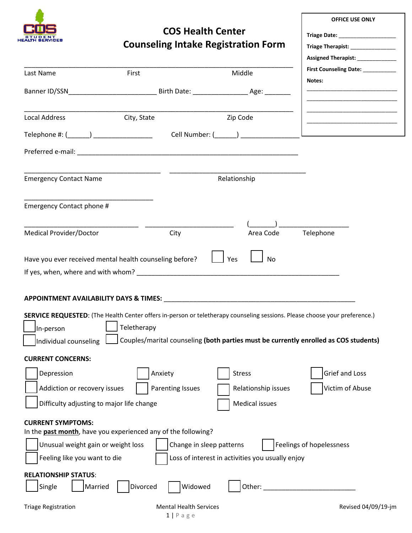

## **COS Health Center Counseling Intake Registration Form**

**OFFICE USE ONLY**

**Triage Date:** \_\_\_\_\_\_\_\_\_\_\_\_\_\_\_\_\_\_\_ **Triage Therapist:** \_\_\_\_\_\_\_\_\_\_\_\_\_\_\_

|                                                                                                                               |                                                                                                                                                                                                                                                              |                                                                              | Assigned Therapist: _____________                                                    |
|-------------------------------------------------------------------------------------------------------------------------------|--------------------------------------------------------------------------------------------------------------------------------------------------------------------------------------------------------------------------------------------------------------|------------------------------------------------------------------------------|--------------------------------------------------------------------------------------|
| Last Name                                                                                                                     | First                                                                                                                                                                                                                                                        | Middle                                                                       | First Counseling Date: __________<br>Notes:                                          |
|                                                                                                                               |                                                                                                                                                                                                                                                              |                                                                              |                                                                                      |
| Local Address                                                                                                                 | City, State                                                                                                                                                                                                                                                  | Zip Code                                                                     |                                                                                      |
|                                                                                                                               | Telephone #: ( ) Cell Number: ( )                                                                                                                                                                                                                            |                                                                              |                                                                                      |
|                                                                                                                               |                                                                                                                                                                                                                                                              |                                                                              |                                                                                      |
| <b>Emergency Contact Name</b>                                                                                                 |                                                                                                                                                                                                                                                              | Relationship                                                                 |                                                                                      |
| Emergency Contact phone #                                                                                                     |                                                                                                                                                                                                                                                              |                                                                              |                                                                                      |
|                                                                                                                               |                                                                                                                                                                                                                                                              |                                                                              |                                                                                      |
| <b>Medical Provider/Doctor</b>                                                                                                | City                                                                                                                                                                                                                                                         | Area Code                                                                    | Telephone                                                                            |
| In-person<br>Individual counseling                                                                                            | APPOINTMENT AVAILABILITY DAYS & TIMES: New York Contract the Contract of the Contract of Contract of Contract o<br>SERVICE REQUESTED: (The Health Center offers in-person or teletherapy counseling sessions. Please choose your preference.)<br>Teletherapy |                                                                              | Couples/marital counseling (both parties must be currently enrolled as COS students) |
| <b>CURRENT CONCERNS:</b>                                                                                                      |                                                                                                                                                                                                                                                              |                                                                              |                                                                                      |
| Depression                                                                                                                    | Anxiety                                                                                                                                                                                                                                                      | <b>Stress</b>                                                                | Grief and Loss                                                                       |
| Addiction or recovery issues                                                                                                  | <b>Parenting Issues</b>                                                                                                                                                                                                                                      | Relationship issues                                                          | Victim of Abuse                                                                      |
| Difficulty adjusting to major life change                                                                                     |                                                                                                                                                                                                                                                              | <b>Medical issues</b>                                                        |                                                                                      |
| <b>CURRENT SYMPTOMS:</b><br>Unusual weight gain or weight loss<br>Feeling like you want to die<br><b>RELATIONSHIP STATUS:</b> | In the past month, have you experienced any of the following?                                                                                                                                                                                                | Change in sleep patterns<br>Loss of interest in activities you usually enjoy | Feelings of hopelessness                                                             |
| Single<br>Married                                                                                                             | Widowed<br>Divorced                                                                                                                                                                                                                                          | Other:                                                                       |                                                                                      |
| <b>Triage Registration</b>                                                                                                    | <b>Mental Health Services</b>                                                                                                                                                                                                                                |                                                                              | Revised 04/09/19-jm                                                                  |